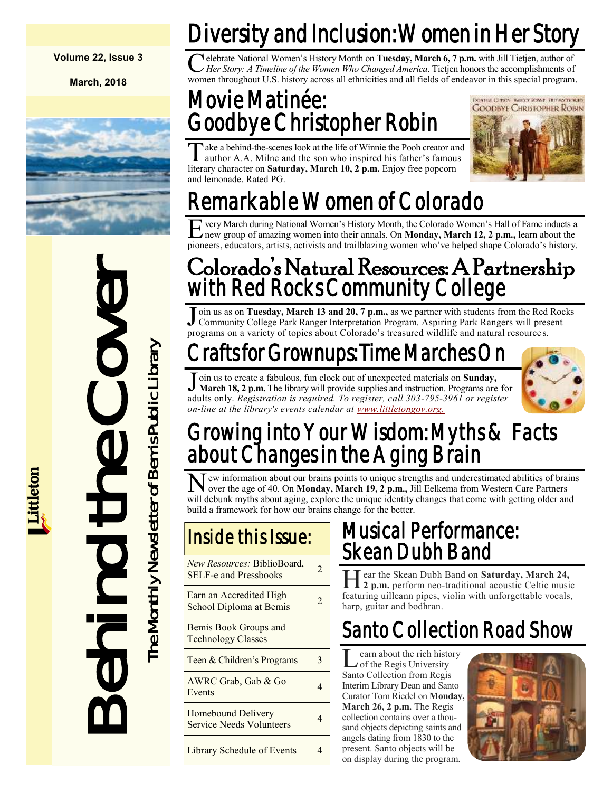**Volume 22, Issue 3**

**March, 2018**



Colorado's Nather (Colorado's Nather Monte of Book March 18, 2 p.m. The district of the Programs on a variety of topics<br>
Form us to create a fabulous, function of the Cover The Monte Cover The Monte Cover The Monte Cover t

## Diversity and Inclusion: Women in Her Story

Celebrate National Women's History Month on Tuesday, March 6, 7 p.m. with Jill Tietjen, author of *Her Story: A Timeline of the Women Who Changed America*. Tietjen honors the accomplishments of women throughout U.S. histor elebrate National Women's History Month on **Tuesday, March 6, 7 p.m.** with Jill Tietjen, author of *Her Story: A Timeline of the Women Who Changed America*. Tietjen honors the accomplishments of

### Movie Matinée: Goodbye Christopher Robin

 $\overline{\text{T}}$ ake a behind-the-scenes look at the life of Winnie the Pooh creator and author A.A. Milne and the son who inspired his father's famous literary character on **Saturday, March 10, 2 p.m.** Enjoy free popcorn and lemonade. Rated PG.



## Remarkable Women of Colorado

E very March during National Women's History Month, the Colorado Women's Hall of Fame inducts a new group of amazing women into their annals. On **Monday, March 12, 2 p.m.,** learn about the very March during National Women's History Month, the Colorado Women's Hall of Fame inducts a pioneers, educators, artists, activists and trailblazing women who've helped shape Colorado's history.

### Colorado's Natural Resources: A Partnership with Red Rocks Community College

Join us as on Tuesday, March 13 and 20, 7 p.m., as we partner with students from the Red<br>Community College Park Ranger Interpretation Program. Aspiring Park Rangers will pres<br>programs on a variety of topics about Colorado' oin us as on **Tuesday, March 13 and 20, 7 p.m.,** as we partner with students from the Red Rocks Community College Park Ranger Interpretation Program. Aspiring Park Rangers will present

## rafts for Grownups: Time Marches On

Join us to create a fabulous, fun clock out of unexpected materials on **Sunday,**<br>March 18, 2 p.m. The library will provide supplies and instruction. Programs are for oin us to create a fabulous, fun clock out of unexpected materials on **Sunday,**  adults only. *Registration is required. To register, call 303-795-3961 or register on-line at the library's events calendar at [www.littletongov.org.](https://www.littletongov.org/city-services/city-departments/bemis-library/library-events-calendar/-curm-3/-cury-2018/-selcat-3)*



### Growing into Your Wisdom: Myths & Facts about Changes in the Aging Brain

New information about our brains points to unique strengths and underestimated abilities of brain over the age of 40. On **Monday, March 19, 2 p.m.,** Jill Eelkema from Western Care Partners ew information about our brains points to unique strengths and underestimated abilities of brains will debunk myths about aging, explore the unique identity changes that come with getting older and build a framework for how our brains change for the better.

| New Resources: BiblioBoard,<br><b>SELF-e and Pressbooks</b> | 2 |
|-------------------------------------------------------------|---|
| Earn an Accredited High<br>School Diploma at Bemis          | 2 |
| Bemis Book Groups and<br><b>Technology Classes</b>          |   |
| Teen & Children's Programs                                  | 3 |
| AWRC Grab, Gab & Go<br>Events                               | 4 |
| Homebound Delivery<br><b>Service Needs Volunteers</b>       | 4 |
| Library Schedule of Events                                  | 4 |

### Musical Performance: Skean Dubh Band

Hear the Skean Dubh Band on Saturday, March 24,<br>2 p.m. perform neo-traditional acoustic Celtic music ear the Skean Dubh Band on **Saturday, March 24,** featuring uilleann pipes, violin with unforgettable vocals, harp, guitar and bodhran.

### Santo Collection Road Show

**L** earn about the rich histor<br>of the Regis University<br>Santo Collection from Regis earn about the rich history of the Regis University Interim Library Dean and Santo Curator Tom Riedel on **Monday, March 26, 2 p.m.** The Regis collection contains over a thousand objects depicting saints and angels dating from 1830 to the present. Santo objects will be on display during the program.

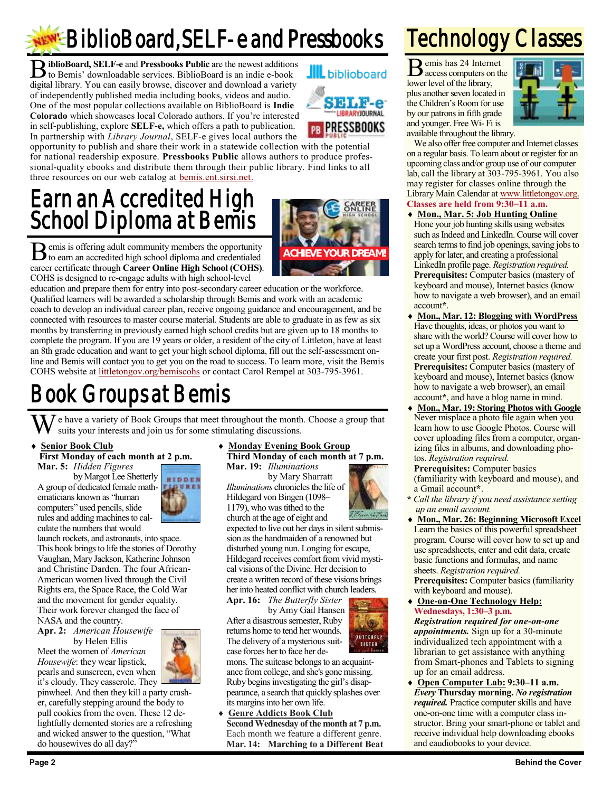## **REW!** BiblioBoard, SELF-e and Pressbooks

**B** iblioBoard, SELF-e and Pressbooks Public are the newest additions to Bemis' downloadable services. BiblioBoard is an indie e-book to Bemis' downloadable services. BiblioBoard is an indie e-book digital library. You can easily browse, discover and download a variety of independently published media including books, videos and audio. One of the most popular collections available on BiblioBoard is **Indie Colorado** which showcases local Colorado authors. If you're interested in self-publishing, explore **SELF-e,** which offers a path to publication. In partnership with *Library Journal*, SELF-e gives local authors the

opportunity to publish and share their work in a statewide collection with the potential for national readership exposure. **Pressbooks Public** allows authors to produce professional-quality ebooks and distribute them through their public library. Find links to all three resources on our web catalog at [bemis.ent.sirsi.net.](https://bemis.ent.sirsi.net/client/en_US/default)

### Earn an Accredited High School Diploma at Bemis

**ACHIEVE YOUR DREAM!**

B emis is offering adult community members the opportunity to earn an accredited high school diploma and credentialed to earn an accredited high school diploma and credentialed career certificate through **Career Online High School (COHS)**. COHS is designed to re-engage adults with high school-level

education and prepare them for entry into post-secondary career education or the workforce. Qualified learners will be awarded a scholarship through Bemis and work with an academic coach to develop an individual career plan, receive ongoing guidance and encouragement, and be connected with resources to master course material. Students are able to graduate in as few as six months by transferring in previously earned high school credits but are given up to 18 months to complete the program. If you are 19 years or older, a resident of the city of Littleton, have at least an 8th grade education and want to get your high school diploma, fill out the self-assessment online and Bemis will contact you to get you on the road to success. To learn more, visit the Bemis COHS website at [littletongov.org/bemiscohs](https://www.littletongov.org/city-services/city-departments/bemis-library/programs/career-online-high-school) or contact Carol Rempel at 303-795-3961.

### Book Groups at Bemis

 $\bar{J}$  e have a variety of Book Groups that meet throughout the month. Choose a group that suits your interests and join us for some stimulating discussions.

#### **Senior Book Club**

**First Monday of each month at 2 p.m. Mar. 5:** *Hidden Figures*

by Margot Lee Shetterly A group of dedicated female mathematicians known as "human computers" used pencils, slide rules and adding machines to calculate the numbers that would



launch rockets, and astronauts, into space. This book brings to life the stories of Dorothy Vaughan, Mary Jackson, Katherine Johnson and Christine Darden. The four African-American women lived through the Civil Rights era, the Space Race, the Cold War and the movement for gender equality. Their work forever changed the face of NASA and the country.

**Apr. 2:** *American Housewife* by Helen Ellis

Meet the women of *American Housewife*: they wear lipstick, pearls and sunscreen, even when it's cloudy. They casserole. They



pinwheel. And then they kill a party crasher, carefully stepping around the body to pull cookies from the oven. These 12 delightfully demented stories are a refreshing and wicked answer to the question, "What do housewives do all day?"

#### **Monday Evening Book Group**

**Third Monday of each month at 7 p.m. Mar. 19:** *Illuminations*

by Mary Sharratt *Illuminations* chronicles the life of Hildegard von Bingen (1098– 1179), who was tithed to the church at the age of eight and

expected to live out her days in silent submission as the handmaiden of a renowned but disturbed young nun. Longing for escape, Hildegard receives comfort from vivid mystical visions of the Divine. Her decision to create a written record of these visions brings her into heated conflict with church leaders.

**Apr. 16:** *The Butterfly Sister*

by Amy Gail Hansen After a disastrous semester, Ruby returns home to tend her wounds. The delivery of a mysterious suitcase forces her to face her de-

mons. The suitcase belongs to an acquaintance from college, and she's gone missing. Ruby begins investigating the girl's disappearance, a search that quickly splashes over its margins into her own life.

**BUTTERFLY** 

 **Genre Addicts Book Club Second Wednesday of the month at 7 p.m.** Each month we feature a different genre. **Mar. 14: Marching to a Different Beat**

### Technology Classes

B emis has 24 Internet access computers on the lower level of the library, plus another seven located in the Children's Room for use by our patrons in fifth grade and younger. Free Wi- Fi is available throughout the library.



We also offer free computer and Internet classes on a regular basis. To learn about or register for an upcoming class and/or group use of our computer lab, call the library at 303-795-3961. You also may register for classes online through the Library Main Calendar at [www.littletongov.org.](https://www.littletongov.org/city-services/city-departments/bemis-library/library-events-calendar/-curm-3/-cury-2018/-selcat-157)

- **Classes are held from 9:30–11 a.m.**
- **Mon., Mar. 5: Job Hunting Online** Hone your job hunting skills using websites such as Indeed and LinkedIn. Course will cover search terms to find job openings, saving jobs to apply for later, and creating a professional LinkedIn profile page. *Registration required.* **Prerequisites:** Computer basics (mastery of keyboard and mouse), Internet basics (know how to navigate a web browser), and an email account**\***.
- **Mon., Mar. 12: Blogging with WordPress** Have thoughts, ideas, or photos you want to share with the world? Course will cover how to set up a WordPress account, choose a theme and create your first post. *Registration required.* **Prerequisites:** Computer basics (mastery of keyboard and mouse), Internet basics (know how to navigate a web browser), an email account**\***, and have a blog name in mind.
- **Mon., Mar. 19: Storing Photos with Google** Never misplace a photo file again when you learn how to use Google Photos. Course will cover uploading files from a computer, organizing files in albums, and downloading photos. *Registration required.*

**Prerequisites:** Computer basics (familiarity with keyboard and mouse), and a Gmail account**\***.

- **\*** *Call the library if you need assistance setting up an email account.*
- **Mon., Mar. 26: Beginning Microsoft Excel** Learn the basics of this powerful spreadsheet program. Course will cover how to set up and use spreadsheets, enter and edit data, create basic functions and formulas, and name sheets. *Registration required.* **Prerequisites:** Computer basics (familiarity with keyboard and mouse).
- **One-on-One Technology Help: Wednesdays, 1:30–3 p.m.**

*Registration required for one-on-one appointments.* Sign up for a 30-minute individualized tech appointment with a librarian to get assistance with anything from Smart-phones and Tablets to signing up for an email address.

 **Open Computer Lab: 9:30–11 a.m.** *Every* **Thursday morning.** *No registration required.* Practice computer skills and have one-on-one time with a computer class instructor. Bring your smart-phone or tablet and receive individual help downloading ebooks and eaudiobooks to your device.



**JIIL** biblioboard

**SELF-e LIBRARYJOURNAL PR PRESSBOOKS**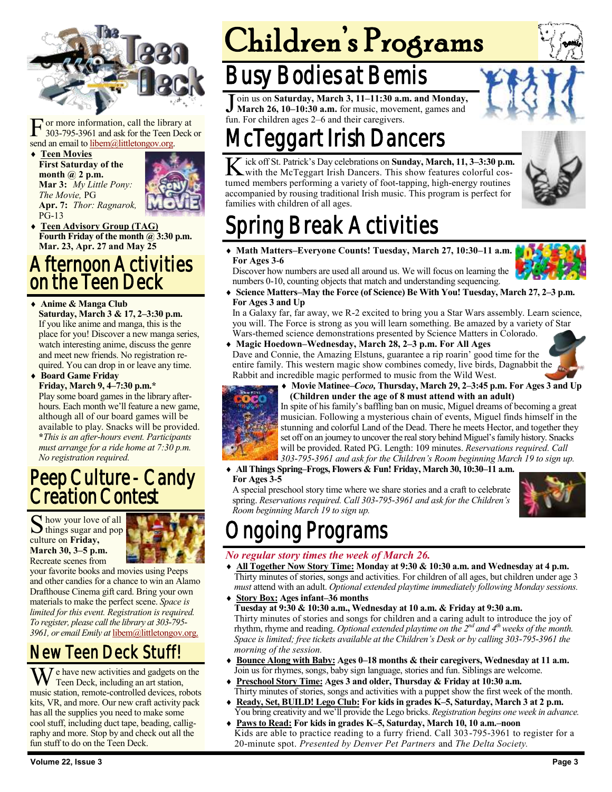

 $\Gamma$  or more information, call the librar<br>303-795-3961 and ask for the Teen I<br>send an email to <u>libem@littletongov.org</u>. or more information, call the library at 303-795-3961 and ask for the Teen Deck or

 **Teen Movies First Saturday of the month @ 2 p.m. Mar 3:** *My Little Pony: The Movie,* PG **Apr. 7:** *Thor: Ragnarok,*  PG-13



 **Teen Advisory Group (TAG) Fourth Friday of the month @ 3:30 p.m. Mar. 23, Apr. 27 and May 25**

#### Afternoon Activities on the Teen Deck

#### **Anime & Manga Club**

**Saturday, March 3 & 17, 2–3:30 p.m.** If you like anime and manga, this is the place for you! Discover a new manga series, watch interesting anime, discuss the genre and meet new friends. No registration required. You can drop in or leave any time.

 **Board Game Friday Friday, March 9, 4–7:30 p.m.\***

Play some board games in the library afterhours. Each month we'll feature a new game, although all of our board games will be available to play. Snacks will be provided. **\****This is an after-hours event. Participants must arrange for a ride home at 7:30 p.m. No registration required.*

### Peep Culture - Candy **Creation Contest**

S how your love of all<br>things sugar and pop how your love of all culture on **Friday, March 30, 3–5 p.m.** Recreate scenes from



your favorite books and movies using Peeps and other candies for a chance to win an Alamo Drafthouse Cinema gift card. Bring your own materials to make the perfect scene. *Space is limited for this event. Registration is required. To register, please call the library at 303-795- 3961, or email Emily at* [libem@littletongov.org.](mailto:libem@littletongov.org.)

### New Teen Deck Stuff!

 $\overline{I}$  e have new activities and gadgets on the Teen Deck, including an art station, music station, remote-controlled devices, robots kits, VR, and more. Our new craft activity pack has all the supplies you need to make some cool stuff, including duct tape, beading, calligraphy and more. Stop by and check out all the fun stuff to do on the Teen Deck.

# Children's Programs

### Busy Bodies at Bemis

Join us on Saturday, March 3, 11–11:30 a.r.<br>March 26, 10–10:30 a.m. for music, moven<br>fun. For children ages 2–6 and their caregivers. oin us on **Saturday, March 3, 11–11:30 a.m. and Monday, March 26, 10–10:30 a.m.** for music, movement, games and

### cTeggart Irish Dancers

K ick off St. Patrick's Day celebrations on Sunday, March, 11, 3-3:30 p.m.<br>With the McTeggart Irish Dancers. This show features colorful cosick off St. Patrick's Day celebrations on **Sunday, March, 11, 3–3:30 p.m.** tumed members performing a variety of foot-tapping, high-energy routines accompanied by rousing traditional Irish music. This program is perfect for families with children of all ages.



## ing Break Activities

 **Math Matters–Everyone Counts! Tuesday, March 27, 10:30–11 a.m. For Ages 3-6**

Discover how numbers are used all around us. We will focus on learning the numbers 0-10, counting objects that match and understanding sequencing.

 **Science Matters–May the Force (of Science) Be With You! Tuesday, March 27, 2–3 p.m. For Ages 3 and Up**

In a Galaxy far, far away, we R-2 excited to bring you a Star Wars assembly. Learn science, you will. The Force is strong as you will learn something. Be amazed by a variety of Star Wars-themed science demonstrations presented by Science Matters in Colorado.

**Magic Hoedown–Wednesday, March 28, 2–3 p.m. For All Ages**

Dave and Connie, the Amazing Elstuns, guarantee a rip roarin' good time for the entire family. This western magic show combines comedy, live birds, Dagnabbit the Rabbit and incredible magic performed to music from the Wild West.



 **Movie Matinee–***Coco,* **Thursday, March 29, 2–3:45 p.m. For Ages 3 and Up (Children under the age of 8 must attend with an adult)**



In spite of his family's baffling ban on music, Miguel dreams of becoming a great musician. Following a mysterious chain of events, Miguel finds himself in the stunning and colorful Land of the Dead. There he meets Hector, and together they set off on an journey to uncover the real story behind Miguel's family history. Snacks will be provided. Rated PG. Length: 109 minutes. *Reservations required. Call 303-795-3961 and ask for the Children's Room beginning March 19 to sign up.*

 **All Things Spring–Frogs, Flowers & Fun! Friday, March 30, 10:30–11 a.m. For Ages 3-5**

A special preschool story time where we share stories and a craft to celebrate spring. *Reservations required. Call 303-795-3961 and ask for the Children's Room beginning March 19 to sign up.*



### ngoing Programs

#### *No regular story times the week of March 26.*

- **All Together Now Story Time: Monday at 9:30 & 10:30 a.m. and Wednesday at 4 p.m.** Thirty minutes of stories, songs and activities. For children of all ages, but children under age 3 *must* attend with an adult. *Optional extended playtime immediately following Monday sessions.*
- **Story Box: Ages infant–36 months Tuesday at 9:30 & 10:30 a.m., Wednesday at 10 a.m. & Friday at 9:30 a.m.** Thirty minutes of stories and songs for children and a caring adult to introduce the joy of rhythm, rhyme and reading. *Optional extended playtime on the 2nd and 4th weeks of the month. Space is limited; free tickets available at the Children's Desk or by calling 303-795-3961 the morning of the session.*
- **Bounce Along with Baby: Ages 0–18 months & their caregivers, Wednesday at 11 a.m.** Join us for rhymes, songs, baby sign language, stories and fun. Siblings are welcome.
- **Preschool Story Time: Ages 3 and older, Thursday & Friday at 10:30 a.m.** Thirty minutes of stories, songs and activities with a puppet show the first week of the month.
- **Ready, Set, BUILD! Lego Club: For kids in grades K–5, Saturday, March 3 at 2 p.m.** You bring creativity and we'll provide the Lego bricks. *Registration begins one week in advance.*
- **Paws to Read: For kids in grades K–5, Saturday, March 10, 10 a.m.–noon** Kids are able to practice reading to a furry friend. Call 303-795-3961 to register for a 20-minute spot. *Presented by Denver Pet Partners* and *The Delta Society.*